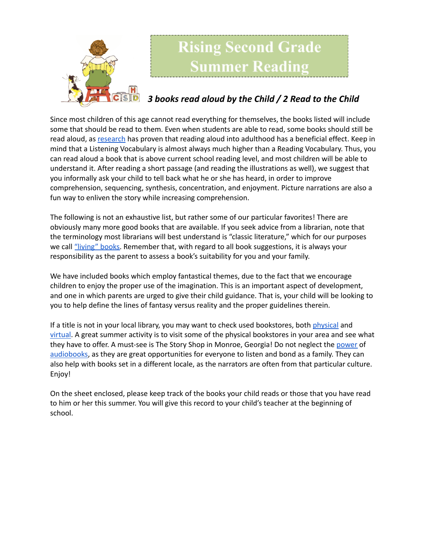

## **Rising Second Grade Jummer Reading**

## *3 books read aloud by the Child / 2 Read to the Child*

Since most children of this age cannot read everything for themselves, the books listed will include some that should be read to them. Even when students are able to read, some books should still be read aloud, as [research](https://www.greatschools.org/gk/articles/read-aloud-to-children/) has proven that reading aloud into adulthood has a beneficial effect. Keep in mind that a Listening Vocabulary is almost always much higher than a Reading Vocabulary. Thus, you can read aloud a book that is above current school reading level, and most children will be able to understand it. After reading a short passage (and reading the illustrations as well), we suggest that you informally ask your child to tell back what he or she has heard, in order to improve comprehension, sequencing, synthesis, concentration, and enjoyment. Picture narrations are also a fun way to enliven the story while increasing comprehension.

The following is not an exhaustive list, but rather some of our particular favorites! There are obviously many more good books that are available. If you seek advice from a librarian, note that the terminology most librarians will best understand is "classic literature," which for our purposes we call ["living"](https://charlottemasonhome.com/2007/05/30/literature-by-grade/) books. Remember that, with regard to all book suggestions, it is always your responsibility as the parent to assess a book's suitability for you and your family.

We have included books which employ fantastical themes, due to the fact that we encourage children to enjoy the proper use of the imagination. This is an important aspect of development, and one in which parents are urged to give their child guidance. That is, your child will be looking to you to help define the lines of fantasy versus reality and the proper guidelines therein.

If a title is not in your local library, you may want to check used bookstores, both [physical](https://www.atlantaparent.com/top-kids-bookstores-in-atlanta/) and [virtual.](https://booksliced.com/books/here-are-the-20-best-websites-to-use-next-time-you-shop-for-paperback-and-hardcover-books-online/) A great summer activity is to visit some of the physical bookstores in your area and see what they have to offer. A must-see is The Story Shop in Monroe, Georgia! Do not neglect the [power](https://www.learningliftoff.com/free-audio-books-for-kids/) of [audiobooks](https://mashable.com/article/free-audiobooks/), as they are great opportunities for everyone to listen and bond as a family. They can also help with books set in a different locale, as the narrators are often from that particular culture. Enjoy!

On the sheet enclosed, please keep track of the books your child reads or those that you have read to him or her this summer. You will give this record to your child's teacher at the beginning of school.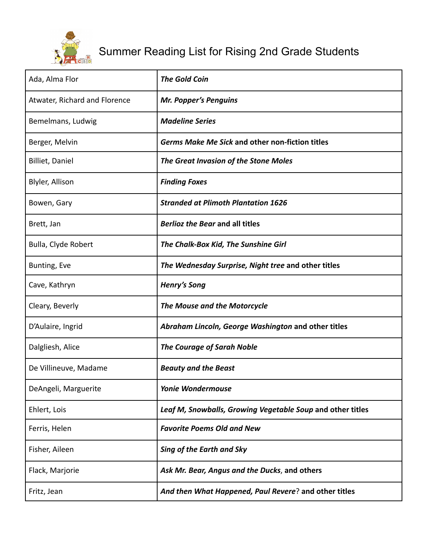

## Summer Reading List for Rising 2nd Grade Students

| Ada, Alma Flor                | <b>The Gold Coin</b>                                       |
|-------------------------------|------------------------------------------------------------|
| Atwater, Richard and Florence | <b>Mr. Popper's Penguins</b>                               |
| Bemelmans, Ludwig             | <b>Madeline Series</b>                                     |
| Berger, Melvin                | <b>Germs Make Me Sick and other non-fiction titles</b>     |
| <b>Billiet, Daniel</b>        | The Great Invasion of the Stone Moles                      |
| Blyler, Allison               | <b>Finding Foxes</b>                                       |
| Bowen, Gary                   | <b>Stranded at Plimoth Plantation 1626</b>                 |
| Brett, Jan                    | <b>Berlioz the Bear and all titles</b>                     |
| Bulla, Clyde Robert           | The Chalk-Box Kid, The Sunshine Girl                       |
| Bunting, Eve                  | The Wednesday Surprise, Night tree and other titles        |
| Cave, Kathryn                 | <b>Henry's Song</b>                                        |
| Cleary, Beverly               | The Mouse and the Motorcycle                               |
| D'Aulaire, Ingrid             | Abraham Lincoln, George Washington and other titles        |
| Dalgliesh, Alice              | <b>The Courage of Sarah Noble</b>                          |
| De Villineuve, Madame         | <b>Beauty and the Beast</b>                                |
| DeAngeli, Marguerite          | <b>Yonie Wondermouse</b>                                   |
| Ehlert, Lois                  | Leaf M, Snowballs, Growing Vegetable Soup and other titles |
| Ferris, Helen                 | <b>Favorite Poems Old and New</b>                          |
| Fisher, Aileen                | <b>Sing of the Earth and Sky</b>                           |
| Flack, Marjorie               | Ask Mr. Bear, Angus and the Ducks, and others              |
| Fritz, Jean                   | And then What Happened, Paul Revere? and other titles      |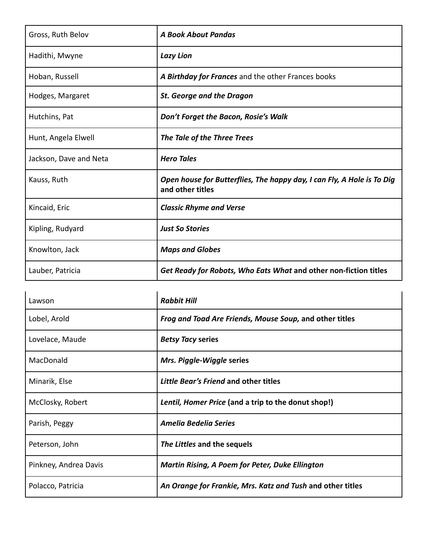| Gross, Ruth Belov      | <b>A Book About Pandas</b>                                                                 |
|------------------------|--------------------------------------------------------------------------------------------|
| Hadithi, Mwyne         | <b>Lazy Lion</b>                                                                           |
| Hoban, Russell         | A Birthday for Frances and the other Frances books                                         |
| Hodges, Margaret       | <b>St. George and the Dragon</b>                                                           |
| Hutchins, Pat          | Don't Forget the Bacon, Rosie's Walk                                                       |
| Hunt, Angela Elwell    | The Tale of the Three Trees                                                                |
| Jackson, Dave and Neta | <b>Hero Tales</b>                                                                          |
| Kauss, Ruth            | Open house for Butterflies, The happy day, I can Fly, A Hole is To Dig<br>and other titles |
| Kincaid, Eric          | <b>Classic Rhyme and Verse</b>                                                             |
| Kipling, Rudyard       | <b>Just So Stories</b>                                                                     |
| Knowlton, Jack         | <b>Maps and Globes</b>                                                                     |
| Lauber, Patricia       | Get Ready for Robots, Who Eats What and other non-fiction titles                           |

| Lawson                | <b>Rabbit Hill</b>                                         |
|-----------------------|------------------------------------------------------------|
| Lobel, Arold          | Frog and Toad Are Friends, Mouse Soup, and other titles    |
| Lovelace, Maude       | <b>Betsy Tacy series</b>                                   |
| MacDonald             | Mrs. Piggle-Wiggle series                                  |
| Minarik, Else         | Little Bear's Friend and other titles                      |
| McClosky, Robert      | Lentil, Homer Price (and a trip to the donut shop!)        |
| Parish, Peggy         | Amelia Bedelia Series                                      |
| Peterson, John        | The Littles and the sequels                                |
| Pinkney, Andrea Davis | <b>Martin Rising, A Poem for Peter, Duke Ellington</b>     |
| Polacco, Patricia     | An Orange for Frankie, Mrs. Katz and Tush and other titles |